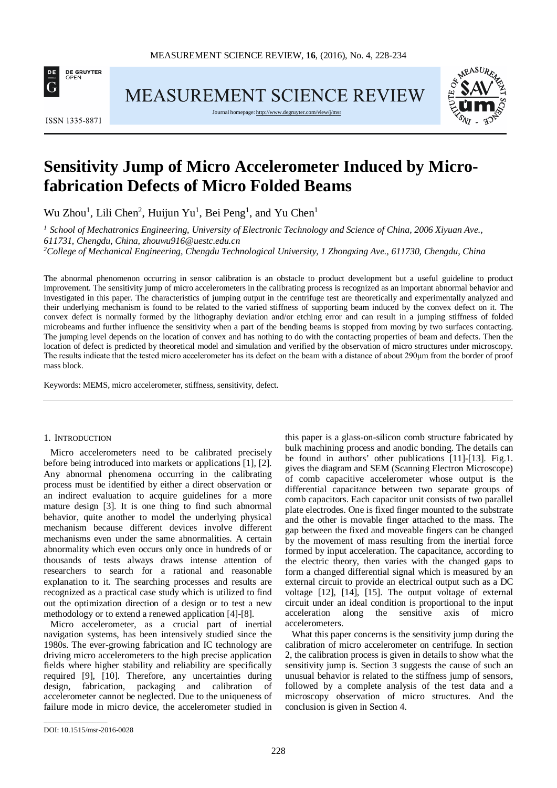

**MEASUREMENT SCIENCE REVIEW** 

**ISSN 1335-8871** 

Journal homepage[: http://www.degruyter.com/view/j/msr](http://www.degruyter.com/view/j/msr)



# **Sensitivity Jump of Micro Accelerometer Induced by Microfabrication Defects of Micro Folded Beams**

Wu Zhou<sup>1</sup>, Lili Chen<sup>2</sup>, Huijun Yu<sup>1</sup>, Bei Peng<sup>1</sup>, and Yu Chen<sup>1</sup>

*<sup>1</sup> School of Mechatronics Engineering, University of Electronic Technology and Science of China, 2006 Xiyuan Ave., 611731, Chengdu, China, zhouwu916@uestc.edu.cn*

*2 College of Mechanical Engineering, Chengdu Technological University, 1 Zhongxing Ave., 611730, Chengdu, China*

The abnormal phenomenon occurring in sensor calibration is an obstacle to product development but a useful guideline to product improvement. The sensitivity jump of micro accelerometers in the calibrating process is recognized as an important abnormal behavior and investigated in this paper. The characteristics of jumping output in the centrifuge test are theoretically and experimentally analyzed and their underlying mechanism is found to be related to the varied stiffness of supporting beam induced by the convex defect on it. The convex defect is normally formed by the lithography deviation and/or etching error and can result in a jumping stiffness of folded microbeams and further influence the sensitivity when a part of the bending beams is stopped from moving by two surfaces contacting. The jumping level depends on the location of convex and has nothing to do with the contacting properties of beam and defects. Then the location of defect is predicted by theoretical model and simulation and verified by the observation of micro structures under microscopy. The results indicate that the tested micro accelerometer has its defect on the beam with a distance of about 290μm from the border of proof mass block.

Keywords: MEMS, micro accelerometer, stiffness, sensitivity, defect.

#### 1. INTRODUCTION

Micro accelerometers need to be calibrated precisely before being introduced into markets or applications [1], [2]. Any abnormal phenomena occurring in the calibrating process must be identified by either a direct observation or an indirect evaluation to acquire guidelines for a more mature design [3]. It is one thing to find such abnormal behavior, quite another to model the underlying physical mechanism because different devices involve different mechanisms even under the same abnormalities. A certain abnormality which even occurs only once in hundreds of or thousands of tests always draws intense attention of researchers to search for a rational and reasonable explanation to it. The searching processes and results are recognized as a practical case study which is utilized to find out the optimization direction of a design or to test a new methodology or to extend a renewed application [4]-[8].

Micro accelerometer, as a crucial part of inertial navigation systems, has been intensively studied since the 1980s. The ever-growing fabrication and IC technology are driving micro accelerometers to the high precise application fields where higher stability and reliability are specifically required [9], [10]. Therefore, any uncertainties during design, fabrication, packaging and calibration of accelerometer cannot be neglected. Due to the uniqueness of failure mode in micro device, the accelerometer studied in

this paper is a glass-on-silicon comb structure fabricated by bulk machining process and anodic bonding. The details can be found in authors' other publications [11]-[13]. Fig.1. gives the diagram and SEM (Scanning Electron Microscope) of comb capacitive accelerometer whose output is the differential capacitance between two separate groups of comb capacitors. Each capacitor unit consists of two parallel plate electrodes. One is fixed finger mounted to the substrate and the other is movable finger attached to the mass. The gap between the fixed and moveable fingers can be changed by the movement of mass resulting from the inertial force formed by input acceleration. The capacitance, according to the electric theory, then varies with the changed gaps to form a changed differential signal which is measured by an external circuit to provide an electrical output such as a DC voltage [12], [14], [15]. The output voltage of external circuit under an ideal condition is proportional to the input acceleration along the sensitive axis of micro accelerometers.

What this paper concerns is the sensitivity jump during the calibration of micro accelerometer on centrifuge. In section 2, the calibration process is given in details to show what the sensitivity jump is. Section 3 suggests the cause of such an unusual behavior is related to the stiffness jump of sensors, followed by a complete analysis of the test data and a microscopy observation of micro structures. And the conclusion is given in Section 4.

\_\_\_\_\_\_\_\_\_\_\_\_\_\_\_\_\_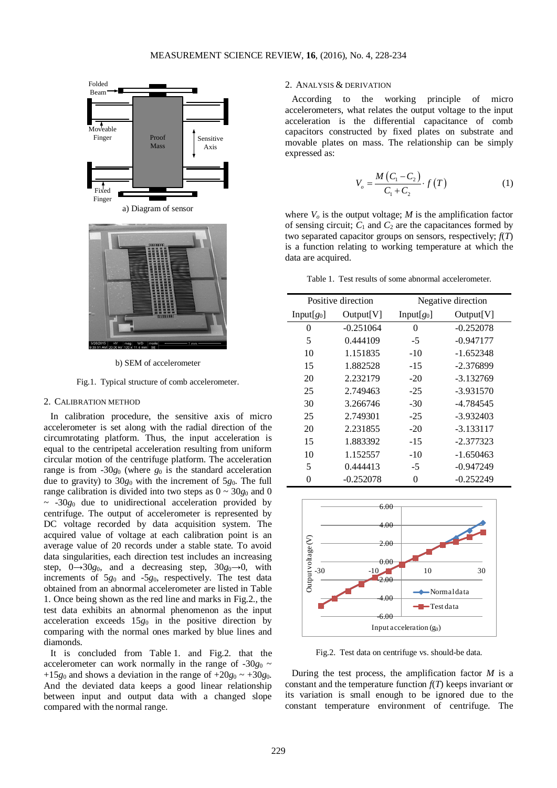

b) SEM of accelerometer

Fig.1. Typical structure of comb accelerometer.

## 2. CALIBRATION METHOD

In calibration procedure, the sensitive axis of micro accelerometer is set along with the radial direction of the circumrotating platform. Thus, the input acceleration is equal to the centripetal acceleration resulting from uniform circular motion of the centrifuge platform. The acceleration range is from  $-30g_0$  (where  $g_0$  is the standard acceleration due to gravity) to 30*g*<sup>0</sup> with the increment of 5*g*0. The full range calibration is divided into two steps as  $0 \sim 30g_0$  and 0  $\sim$  -30 $g_0$  due to unidirectional acceleration provided by centrifuge. The output of accelerometer is represented by DC voltage recorded by data acquisition system. The acquired value of voltage at each calibration point is an average value of 20 records under a stable state. To avoid data singularities, each direction test includes an increasing step,  $0 \rightarrow 30g_0$ , and a decreasing step,  $30g_0 \rightarrow 0$ , with increments of 5*g*<sup>0</sup> and -5*g*0, respectively. The test data obtained from an abnormal accelerometer are listed in Table 1. Once being shown as the red line and marks in Fig.2., the test data exhibits an abnormal phenomenon as the input acceleration exceeds 15*g*<sup>0</sup> in the positive direction by comparing with the normal ones marked by blue lines and diamonds.

It is concluded from Table 1. and Fig.2. that the accelerometer can work normally in the range of  $-30g_0 \sim$ +15 $g_0$  and shows a deviation in the range of +20 $g_0 \sim$  +30 $g_0$ . And the deviated data keeps a good linear relationship between input and output data with a changed slope compared with the normal range.

## 2. ANALYSIS & DERIVATION

According to the working principle of micro accelerometers, what relates the output voltage to the input acceleration is the differential capacitance of comb capacitors constructed by fixed plates on substrate and movable plates on mass. The relationship can be simply expressed as:

$$
V_o = \frac{M\left(C_1 - C_2\right)}{C_1 + C_2} \cdot f\left(T\right) \tag{1}
$$

where  $V<sub>o</sub>$  is the output voltage;  $M$  is the amplification factor of sensing circuit;  $C_1$  and  $C_2$  are the capacitances formed by two separated capacitor groups on sensors, respectively; *f*(*T*) is a function relating to working temperature at which the data are acquired.

Table 1. Test results of some abnormal accelerometer.

| Positive direction |             | Negative direction |             |  |
|--------------------|-------------|--------------------|-------------|--|
| $Input[g_0]$       | Output   V  | $Input[g_0]$       | Output[V]   |  |
| 0                  | $-0.251064$ | 0                  | $-0.252078$ |  |
| 5                  | 0.444109    | $-5$               | $-0.947177$ |  |
| 10                 | 1.151835    | $-10$              | $-1.652348$ |  |
| 15                 | 1.882528    | $-15$              | $-2.376899$ |  |
| 20                 | 2.232179    | $-20$              | $-3.132769$ |  |
| 25                 | 2.749463    | $-25$              | $-3.931570$ |  |
| 30                 | 3.266746    | $-30$              | -4.784545   |  |
| 25                 | 2.749301    | $-25$              | $-3.932403$ |  |
| 20                 | 2.231855    | $-20$              | $-3.133117$ |  |
| 15                 | 1.883392    | $-15$              | $-2.377323$ |  |
| 10                 | 1.152557    | $-10$              | $-1.650463$ |  |
| 5                  | 0.444413    | -5                 | $-0.947249$ |  |
| 0                  | $-0.252078$ | $\theta$           | $-0.252249$ |  |



Fig.2. Test data on centrifuge vs. should-be data.

During the test process, the amplification factor *M* is a constant and the temperature function  $f(T)$  keeps invariant or its variation is small enough to be ignored due to the constant temperature environment of centrifuge. The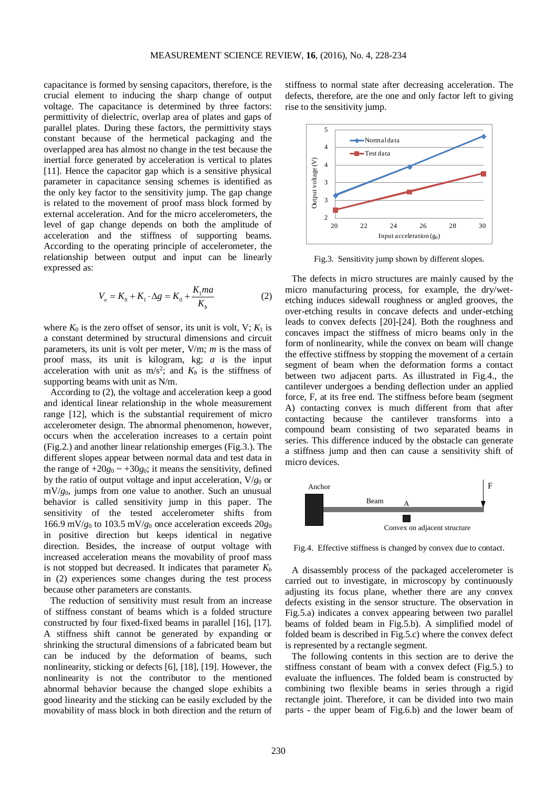capacitance is formed by sensing capacitors, therefore, is the crucial element to inducing the sharp change of output voltage. The capacitance is determined by three factors: permittivity of dielectric, overlap area of plates and gaps of parallel plates. During these factors, the permittivity stays constant because of the hermetical packaging and the overlapped area has almost no change in the test because the inertial force generated by acceleration is vertical to plates [11]. Hence the capacitor gap which is a sensitive physical parameter in capacitance sensing schemes is identified as the only key factor to the sensitivity jump. The gap change is related to the movement of proof mass block formed by external acceleration. And for the micro accelerometers, the level of gap change depends on both the amplitude of acceleration and the stiffness of supporting beams. According to the operating principle of accelerometer, the relationship between output and input can be linearly expressed as:

$$
V_o = K_0 + K_1 \cdot \Delta g = K_0 + \frac{K_1 m a}{K_b}
$$
 (2)

where  $K_0$  is the zero offset of sensor, its unit is volt, V;  $K_1$  is a constant determined by structural dimensions and circuit parameters, its unit is volt per meter, V/m; *m* is the mass of proof mass, its unit is kilogram, kg; *a* is the input acceleration with unit as  $m/s^2$ ; and  $K_b$  is the stiffness of supporting beams with unit as N/m.

According to (2), the voltage and acceleration keep a good and identical linear relationship in the whole measurement range [12], which is the substantial requirement of micro accelerometer design. The abnormal phenomenon, however, occurs when the acceleration increases to a certain point (Fig.2.) and another linear relationship emerges (Fig.3.). The different slopes appear between normal data and test data in the range of  $+20g_0 \sim +30g_0$ ; it means the sensitivity, defined by the ratio of output voltage and input acceleration,  $V/g_0$  or mV/*g*0, jumps from one value to another. Such an unusual behavior is called sensitivity jump in this paper. The sensitivity of the tested accelerometer shifts from 166.9 mV/ $g_0$  to 103.5 mV/ $g_0$  once acceleration exceeds 20 $g_0$ in positive direction but keeps identical in negative direction. Besides, the increase of output voltage with increased acceleration means the movability of proof mass is not stopped but decreased. It indicates that parameter  $K_b$ in (2) experiences some changes during the test process because other parameters are constants.

The reduction of sensitivity must result from an increase of stiffness constant of beams which is a folded structure constructed by four fixed-fixed beams in parallel [16], [17]. A stiffness shift cannot be generated by expanding or shrinking the structural dimensions of a fabricated beam but can be induced by the deformation of beams, such nonlinearity, sticking or defects [6], [18], [19]. However, the nonlinearity is not the contributor to the mentioned abnormal behavior because the changed slope exhibits a good linearity and the sticking can be easily excluded by the movability of mass block in both direction and the return of stiffness to normal state after decreasing acceleration. The defects, therefore, are the one and only factor left to giving rise to the sensitivity jump.



Fig.3. Sensitivity jump shown by different slopes.

The defects in micro structures are mainly caused by the micro manufacturing process, for example, the dry/wetetching induces sidewall roughness or angled grooves, the over-etching results in concave defects and under-etching leads to convex defects [20]-[24]. Both the roughness and concaves impact the stiffness of micro beams only in the form of nonlinearity, while the convex on beam will change the effective stiffness by stopping the movement of a certain segment of beam when the deformation forms a contact between two adjacent parts. As illustrated in Fig.4., the cantilever undergoes a bending deflection under an applied force, F, at its free end. The stiffness before beam (segment A) contacting convex is much different from that after contacting because the cantilever transforms into a compound beam consisting of two separated beams in series. This difference induced by the obstacle can generate a stiffness jump and then can cause a sensitivity shift of micro devices.



Fig.4. Effective stiffness is changed by convex due to contact.

A disassembly process of the packaged accelerometer is carried out to investigate, in microscopy by continuously adjusting its focus plane, whether there are any convex defects existing in the sensor structure. The observation in Fig.5.a) indicates a convex appearing between two parallel beams of folded beam in Fig.5.b). A simplified model of folded beam is described in Fig.5.c) where the convex defect is represented by a rectangle segment.

The following contents in this section are to derive the stiffness constant of beam with a convex defect (Fig.5.) to evaluate the influences. The folded beam is constructed by combining two flexible beams in series through a rigid rectangle joint. Therefore, it can be divided into two main parts - the upper beam of Fig.6.b) and the lower beam of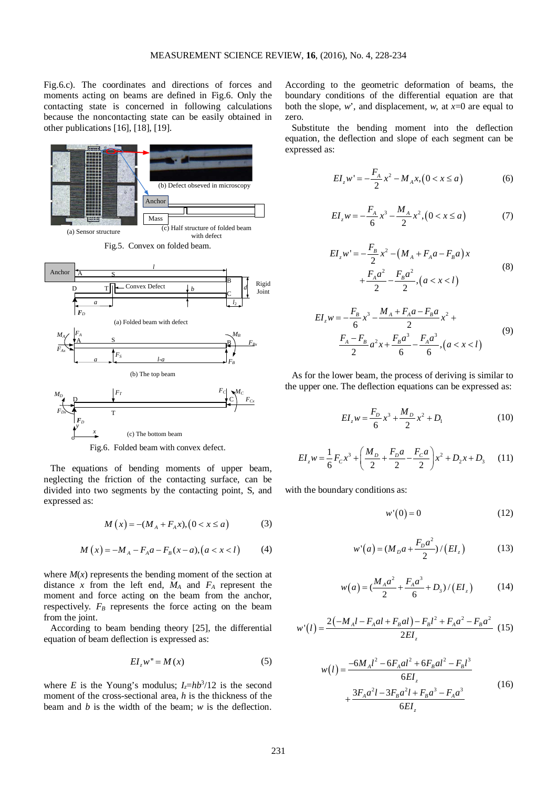Fig.6.c). The coordinates and directions of forces and moments acting on beams are defined in Fig.6. Only the contacting state is concerned in following calculations because the noncontacting state can be easily obtained in other publications [16], [18], [19].



Fig.6. Folded beam with convex defect.

o

The equations of bending moments of upper beam, neglecting the friction of the contacting surface, can be divided into two segments by the contacting point, S, and expressed as:

$$
M(x) = -(M_A + F_A x), (0 < x \le a)
$$
 (3)

$$
M(x) = -M_A - F_A a - F_B(x-a), (a < x < l)
$$
 (4)

where  $M(x)$  represents the bending moment of the section at distance x from the left end,  $M_A$  and  $F_A$  represent the moment and force acting on the beam from the anchor, respectively.  $F_B$  represents the force acting on the beam from the joint.

According to beam bending theory [25], the differential equation of beam deflection is expressed as:

$$
EI_z w'' = M(x) \tag{5}
$$

where *E* is the Young's modulus;  $I_z = hb^3/12$  is the second moment of the cross-sectional area, *h* is the thickness of the beam and *b* is the width of the beam; *w* is the deflection.

According to the geometric deformation of beams, the boundary conditions of the differential equation are that both the slope,  $w$ , and displacement,  $w$ , at  $x=0$  are equal to zero.

Substitute the bending moment into the deflection equation, the deflection and slope of each segment can be expressed as:

$$
EI_z w' = -\frac{F_A}{2} x^2 - M_A x, (0 < x \le a)
$$
 (6)

$$
EI_z w = -\frac{F_A}{6} x^3 - \frac{M_A}{2} x^2, (0 < x \le a)
$$
 (7)

$$
EI_z w' = -\frac{F_B}{2} x^2 - (M_A + F_A a - F_B a) x
$$
  
+ 
$$
\frac{F_A a^2}{2} - \frac{F_B a^2}{2}, (a < x < l)
$$
 (8)

$$
EI_z w = -\frac{F_B}{6} x^3 - \frac{M_A + F_A a - F_B a}{2} x^2 +
$$
  

$$
\frac{F_A - F_B}{2} a^2 x + \frac{F_B a^3}{6} - \frac{F_A a^3}{6}, (a < x < l)
$$
 (9)

As for the lower beam, the process of deriving is similar to the upper one. The deflection equations can be expressed as:

$$
EI_z w = \frac{F_D}{6} x^3 + \frac{M_D}{2} x^2 + D_1
$$
 (10)

$$
EI_z w = \frac{1}{6} F_c x^3 + \left(\frac{M_D}{2} + \frac{F_D a}{2} - \frac{F_C a}{2}\right) x^2 + D_2 x + D_3 \tag{11}
$$

with the boundary conditions as:

$$
w'(0) = 0 \tag{12}
$$

$$
w'(a) = (M_p a + \frac{F_p a^2}{2}) / (EI_z)
$$
 (13)

$$
w(a) = \left(\frac{M_A a^2}{2} + \frac{F_A a^3}{6} + D_3\right) / \left(EI_z\right) \tag{14}
$$

$$
w'(l) = \frac{2(-M_A l - F_A al + F_B al) - F_B l^2 + F_A a^2 - F_B a^2}{2EI_z}
$$
(15)

$$
w(l) = \frac{-6M_A l^2 - 6F_A al^2 + 6F_B al^2 - F_B l^3}{6EI_z}
$$
  
+ 
$$
\frac{3F_A a^2 l - 3F_B a^2 l + F_B a^3 - F_A a^3}{6EI_z}
$$
(16)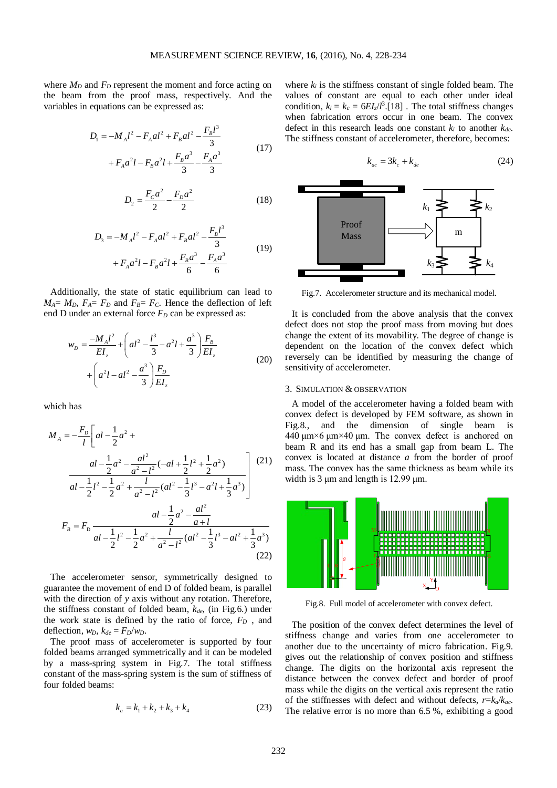г

where  $M_D$  and  $F_D$  represent the moment and force acting on the beam from the proof mass, respectively. And the variables in equations can be expressed as:

$$
D_1 = -M_A l^2 - F_A a l^2 + F_B a l^2 - \frac{F_B l^3}{3}
$$
  
+  $F_A a^2 l - F_B a^2 l + \frac{F_B a^3}{3} - \frac{F_A a^3}{3}$  (17)

$$
D_2 = \frac{F_c a^2}{2} - \frac{F_p a^2}{2} \tag{18}
$$

$$
D_3 = -M_A l^2 - F_A a l^2 + F_B a l^2 - \frac{F_B l^3}{3}
$$
  
+  $F_A a^2 l - F_B a^2 l + \frac{F_B a^3}{6} - \frac{F_A a^3}{6}$  (19)

Additionally, the state of static equilibrium can lead to  $M_A = M_D$ ,  $F_A = F_D$  and  $F_B = F_C$ . Hence the deflection of left end D under an external force  $F<sub>D</sub>$  can be expressed as:

$$
w_D = \frac{-M_A l^2}{EI_z} + \left( al^2 - \frac{l^3}{3} - a^2 l + \frac{a^3}{3} \right) \frac{F_B}{EI_z}
$$
  
+ 
$$
\left( a^2 l - al^2 - \frac{a^3}{3} \right) \frac{F_D}{EI_z}
$$
 (20)

which has

$$
M_A = -\frac{F_D}{l} \left[ al - \frac{1}{2}a^2 + \frac{al - \frac{1}{2}a^2 - \frac{al^2}{a^2 - l^2}(-al + \frac{1}{2}l^2 + \frac{1}{2}a^2)}{al - \frac{1}{2}l^2 - \frac{1}{2}a^2 + \frac{l}{a^2 - l^2}(al^2 - \frac{1}{3}l^3 - a^2l + \frac{1}{3}a^3)} \right] (21)
$$
  

$$
F_B = F_D \frac{al - \frac{1}{2}a^2 - \frac{al^2}{a + l}}{al - \frac{1}{2}l^2 - \frac{1}{2}a^2 + \frac{l}{a^2 - l^2}(al^2 - \frac{1}{3}l^3 - al^2 + \frac{1}{3}a^3)}
$$
(22)

The accelerometer sensor, symmetrically designed to guarantee the movement of end D of folded beam, is parallel with the direction of *y* axis without any rotation. Therefore, the stiffness constant of folded beam,  $k_{de}$ , (in Fig.6.) under the work state is defined by the ratio of force,  $F<sub>D</sub>$ , and deflection,  $w_D$ ,  $k_{de} = F_D/w_D$ .

The proof mass of accelerometer is supported by four folded beams arranged symmetrically and it can be modeled by a mass-spring system in Fig.7. The total stiffness constant of the mass-spring system is the sum of stiffness of four folded beams:

$$
k_a = k_1 + k_2 + k_3 + k_4 \tag{23}
$$

where  $k_i$  is the stiffness constant of single folded beam. The values of constant are equal to each other under ideal condition,  $k_i = k_c = 6EI_z/l^3$ . [18] . The total stiffness changes when fabrication errors occur in one beam. The convex defect in this research leads one constant  $k_i$  to another  $k_{de}$ . The stiffness constant of accelerometer, therefore, becomes:

$$
k_{ac} = 3k_c + k_{de}
$$
\n(24)\n  
\nProof\n  
\nMass\n  
\n
$$
k_1
$$
\n
$$
k_2
$$
\n
$$
m
$$
\n
$$
k_3
$$
\n
$$
k_4
$$

Fig.7. Accelerometer structure and its mechanical model.

It is concluded from the above analysis that the convex defect does not stop the proof mass from moving but does change the extent of its movability. The degree of change is dependent on the location of the convex defect which reversely can be identified by measuring the change of sensitivity of accelerometer.

#### 3. SIMULATION & OBSERVATION

A model of the accelerometer having a folded beam with convex defect is developed by FEM software, as shown in Fig.8., and the dimension of single beam is 440 μm×6 μm×40 μm. The convex defect is anchored on beam R and its end has a small gap from beam L. The convex is located at distance *a* from the border of proof mass. The convex has the same thickness as beam while its width is 3  $\mu$ m and length is 12.99  $\mu$ m.



Fig.8. Full model of accelerometer with convex defect.

The position of the convex defect determines the level of stiffness change and varies from one accelerometer to another due to the uncertainty of micro fabrication. Fig.9. gives out the relationship of convex position and stiffness change. The digits on the horizontal axis represent the distance between the convex defect and border of proof mass while the digits on the vertical axis represent the ratio of the stiffnesses with defect and without defects, *r*=*ka*/*kac*. The relative error is no more than 6.5 %, exhibiting a good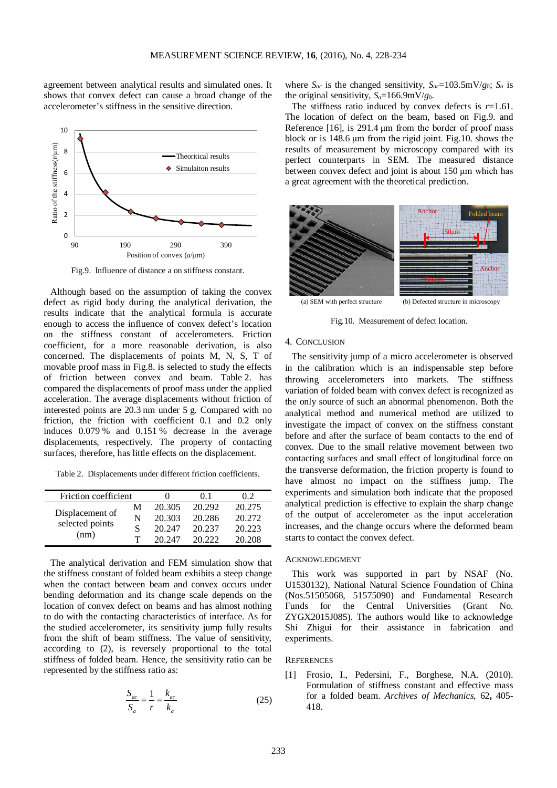agreement between analytical results and simulated ones. It shows that convex defect can cause a broad change of the accelerometer's stiffness in the sensitive direction.



Fig.9. Influence of distance a on stiffness constant.

Although based on the assumption of taking the convex defect as rigid body during the analytical derivation, the results indicate that the analytical formula is accurate enough to access the influence of convex defect's location on the stiffness constant of accelerometers. Friction coefficient, for a more reasonable derivation, is also concerned. The displacements of points M, N, S, T of movable proof mass in Fig.8. is selected to study the effects of friction between convex and beam. Table 2. has compared the displacements of proof mass under the applied acceleration. The average displacements without friction of interested points are 20.3 nm under 5 g. Compared with no friction, the friction with coefficient 0.1 and 0.2 only induces 0.079 % and 0.151 % decrease in the average displacements, respectively. The property of contacting surfaces, therefore, has little effects on the displacement.

Table 2. Displacements under different friction coefficients.

| Friction coefficient |   |        | $^{\prime}$ 0 $^{\prime}$ 1 | 02     |
|----------------------|---|--------|-----------------------------|--------|
| Displacement of      | М | 20.305 | 20.292                      | 20.275 |
| selected points      | N | 20.303 | 20.286                      | 20.272 |
|                      |   | 20.247 | 20.237                      | 20.223 |
| (nm)                 |   | 20.247 | 20.222                      | 20.208 |

The analytical derivation and FEM simulation show that the stiffness constant of folded beam exhibits a steep change when the contact between beam and convex occurs under bending deformation and its change scale depends on the location of convex defect on beams and has almost nothing to do with the contacting characteristics of interface. As for the studied accelerometer, its sensitivity jump fully results from the shift of beam stiffness. The value of sensitivity, according to (2), is reversely proportional to the total stiffness of folded beam. Hence, the sensitivity ratio can be represented by the stiffness ratio as:

$$
\frac{S_{ac}}{S_a} = \frac{1}{r} = \frac{k_{ac}}{k_a} \tag{25}
$$

where  $S_{ac}$  is the changed sensitivity,  $S_{ac} = 103.5 \text{mV/g}_0$ ;  $S_a$  is the original sensitivity,  $S_a = 166.9 \text{mV/g}_0$ .

The stiffness ratio induced by convex defects is  $r=1.61$ . The location of defect on the beam, based on Fig.9. and Reference [16], is 291.4 μm from the border of proof mass block or is 148.6 μm from the rigid joint. Fig.10. shows the results of measurement by microscopy compared with its perfect counterparts in SEM. The measured distance between convex defect and joint is about 150 μm which has a great agreement with the theoretical prediction.



Fig.10. Measurement of defect location.

# 4. CONCLUSION

The sensitivity jump of a micro accelerometer is observed in the calibration which is an indispensable step before throwing accelerometers into markets. The stiffness variation of folded beam with convex defect is recognized as the only source of such an abnormal phenomenon. Both the analytical method and numerical method are utilized to investigate the impact of convex on the stiffness constant before and after the surface of beam contacts to the end of convex. Due to the small relative movement between two contacting surfaces and small effect of longitudinal force on the transverse deformation, the friction property is found to have almost no impact on the stiffness jump. The experiments and simulation both indicate that the proposed analytical prediction is effective to explain the sharp change of the output of accelerometer as the input acceleration increases, and the change occurs where the deformed beam starts to contact the convex defect.

# ACKNOWLEDGMENT

This work was supported in part by NSAF (No. U1530132), National Natural Science Foundation of China (Nos.51505068, 51575090) and Fundamental Research Funds for the Central Universities (Grant No. ZYGX2015J085). The authors would like to acknowledge Shi Zhigui for their assistance in fabrication and experiments.

# **REFERENCES**

Frosio, I., Pedersini, F., Borghese, N.A. (2010). Formulation of stiffness constant and effective mass for a folded beam. *Archives of Mechanics,* 62**,** 405- 418.